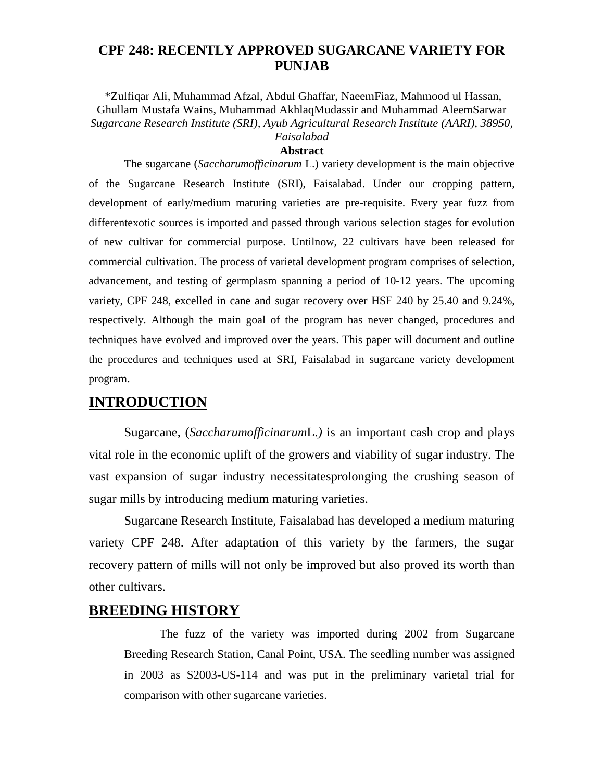### **CPF 248: RECENTLY APPROVED SUGARCANE VARIETY FOR PUNJAB**

\*Zulfiqar Ali, Muhammad Afzal, Abdul Ghaffar, NaeemFiaz, Mahmood ul Hassan, Ghullam Mustafa Wains, Muhammad AkhlaqMudassir and Muhammad AleemSarwar *Sugarcane Research Institute (SRI), Ayub Agricultural Research Institute (AARI), 38950, Faisalabad*

#### **Abstract**

The sugarcane (*Saccharumofficinarum* L.) variety development is the main objective of the Sugarcane Research Institute (SRI), Faisalabad. Under our cropping pattern, development of early/medium maturing varieties are pre-requisite. Every year fuzz from differentexotic sources is imported and passed through various selection stages for evolution of new cultivar for commercial purpose. Untilnow, 22 cultivars have been released for commercial cultivation. The process of varietal development program comprises of selection, advancement, and testing of germplasm spanning a period of 10-12 years. The upcoming variety, CPF 248, excelled in cane and sugar recovery over HSF 240 by 25.40 and 9.24%, respectively. Although the main goal of the program has never changed, procedures and techniques have evolved and improved over the years. This paper will document and outline the procedures and techniques used at SRI, Faisalabad in sugarcane variety development program.

## **INTRODUCTION**

Sugarcane, (*Saccharumofficinarum*L.*)* is an important cash crop and plays vital role in the economic uplift of the growers and viability of sugar industry. The vast expansion of sugar industry necessitatesprolonging the crushing season of sugar mills by introducing medium maturing varieties.

Sugarcane Research Institute, Faisalabad has developed a medium maturing variety CPF 248. After adaptation of this variety by the farmers, the sugar recovery pattern of mills will not only be improved but also proved its worth than other cultivars.

## **BREEDING HISTORY**

The fuzz of the variety was imported during 2002 from Sugarcane Breeding Research Station, Canal Point, USA. The seedling number was assigned in 2003 as S2003-US-114 and was put in the preliminary varietal trial for comparison with other sugarcane varieties.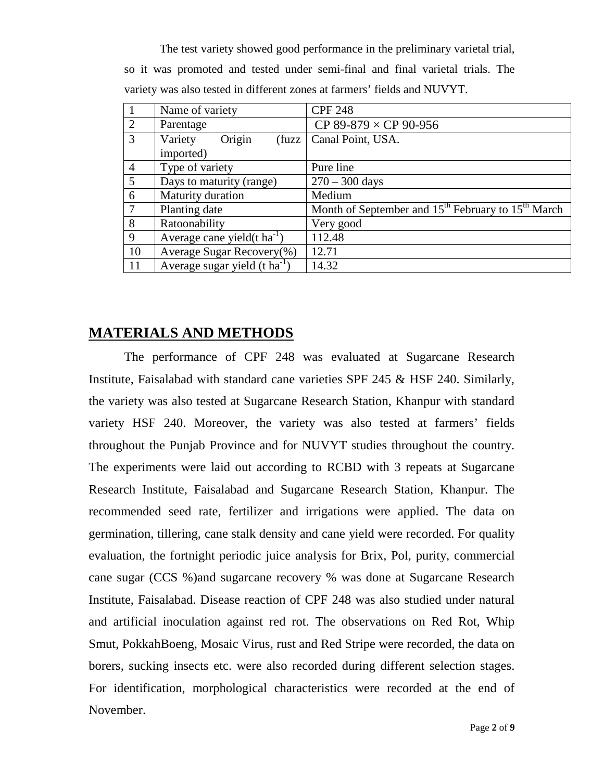The test variety showed good performance in the preliminary varietal trial, so it was promoted and tested under semi-final and final varietal trials. The variety was also tested in different zones at farmers' fields and NUVYT.

|                | Name of variety                           | <b>CPF 248</b>                                               |
|----------------|-------------------------------------------|--------------------------------------------------------------|
| 2              | Parentage                                 | CP 89-879 $\times$ CP 90-956                                 |
| 3              | Origin<br>Variety<br>fuzzy                | Canal Point, USA.                                            |
|                | imported)                                 |                                                              |
| $\overline{4}$ | Type of variety                           | Pure line                                                    |
| $\overline{5}$ | Days to maturity (range)                  | $270 - 300$ days                                             |
| 6              | Maturity duration                         | Medium                                                       |
| $\tau$         | Planting date                             | Month of September and $15^{th}$ February to $15^{th}$ March |
| 8              | Ratoonability                             | Very good                                                    |
| 9              | Average cane yield( $t \text{ ha}^{-1}$ ) | 112.48                                                       |
| 10             | Average Sugar Recovery(%)                 | 12.71                                                        |
| 11             | Average sugar yield $(t \text{ ha}^{-1})$ | 14.32                                                        |

## **MATERIALS AND METHODS**

The performance of CPF 248 was evaluated at Sugarcane Research Institute, Faisalabad with standard cane varieties SPF 245 & HSF 240. Similarly, the variety was also tested at Sugarcane Research Station, Khanpur with standard variety HSF 240. Moreover, the variety was also tested at farmers' fields throughout the Punjab Province and for NUVYT studies throughout the country. The experiments were laid out according to RCBD with 3 repeats at Sugarcane Research Institute, Faisalabad and Sugarcane Research Station, Khanpur. The recommended seed rate, fertilizer and irrigations were applied. The data on germination, tillering, cane stalk density and cane yield were recorded. For quality evaluation, the fortnight periodic juice analysis for Brix, Pol, purity, commercial cane sugar (CCS %)and sugarcane recovery % was done at Sugarcane Research Institute, Faisalabad. Disease reaction of CPF 248 was also studied under natural and artificial inoculation against red rot. The observations on Red Rot, Whip Smut, PokkahBoeng, Mosaic Virus, rust and Red Stripe were recorded, the data on borers, sucking insects etc. were also recorded during different selection stages. For identification, morphological characteristics were recorded at the end of November.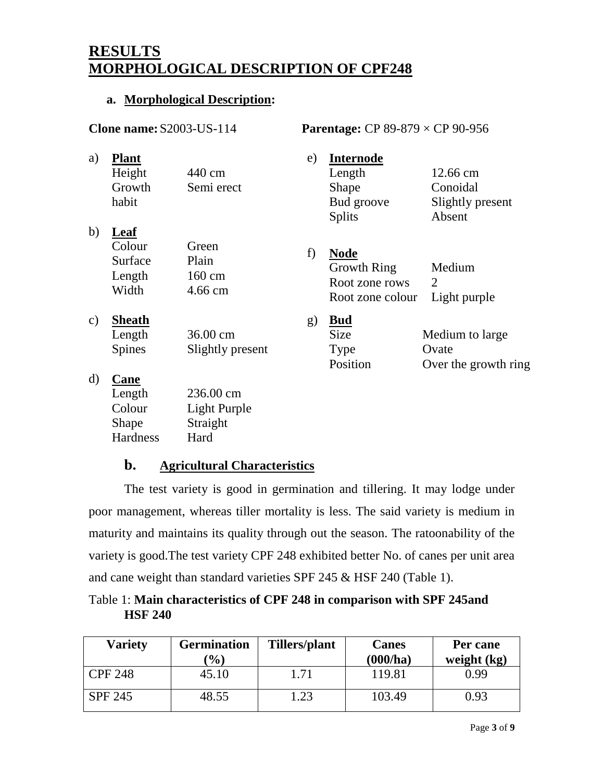# **RESULTS MORPHOLOGICAL DESCRIPTION OF CPF248**

#### **a. Morphological Description:**

| <b>Clone name: S2003-US-114</b> |                                              |                                       |    | <b>Parentage:</b> CP 89-879 $\times$ CP 90-956                          |                                                    |  |  |
|---------------------------------|----------------------------------------------|---------------------------------------|----|-------------------------------------------------------------------------|----------------------------------------------------|--|--|
| a)                              | <b>Plant</b><br>Height<br>Growth<br>habit    | 440 cm<br>Semi erect                  | e) | <b>Internode</b><br>Length<br>Shape<br>Bud groove<br><b>Splits</b>      | 12.66 cm<br>Conoidal<br>Slightly present<br>Absent |  |  |
| b)                              | Leaf<br>Colour<br>Surface<br>Length<br>Width | Green<br>Plain<br>160 cm<br>4.66 cm   | f) | <b>Node</b><br><b>Growth Ring</b><br>Root zone rows<br>Root zone colour | Medium<br>2<br>Light purple                        |  |  |
| $\mathbf{c})$                   | <b>Sheath</b><br>Length<br><b>Spines</b>     | 36.00 cm<br>Slightly present          | g) | <b>Bud</b><br>Size<br>Type<br>Position                                  | Medium to large<br>Ovate<br>Over the growth ring   |  |  |
| $\mathbf{d}$                    | Cane<br>Length<br>Colour<br>Shape            | 236.00 cm<br>Light Purple<br>Straight |    |                                                                         |                                                    |  |  |

#### **b. Agricultural Characteristics**

Hard

**Hardness** 

The test variety is good in germination and tillering. It may lodge under poor management, whereas tiller mortality is less. The said variety is medium in maturity and maintains its quality through out the season. The ratoonability of the variety is good.The test variety CPF 248 exhibited better No. of canes per unit area and cane weight than standard varieties SPF 245 & HSF 240 (Table 1).

Table 1: **Main characteristics of CPF 248 in comparison with SPF 245and HSF 240**

| <b>Variety</b> | <b>Germination</b><br>$\mathcal{O}(0)$ | Tillers/plant | <b>Canes</b><br>(000/ha) | Per cane<br>weight (kg) |
|----------------|----------------------------------------|---------------|--------------------------|-------------------------|
| <b>CPF 248</b> | 45.10                                  | 1.71          | 119.81                   | 0.99                    |
| <b>SPF 245</b> | 48.55                                  | l.23          | 103.49                   | 0.93                    |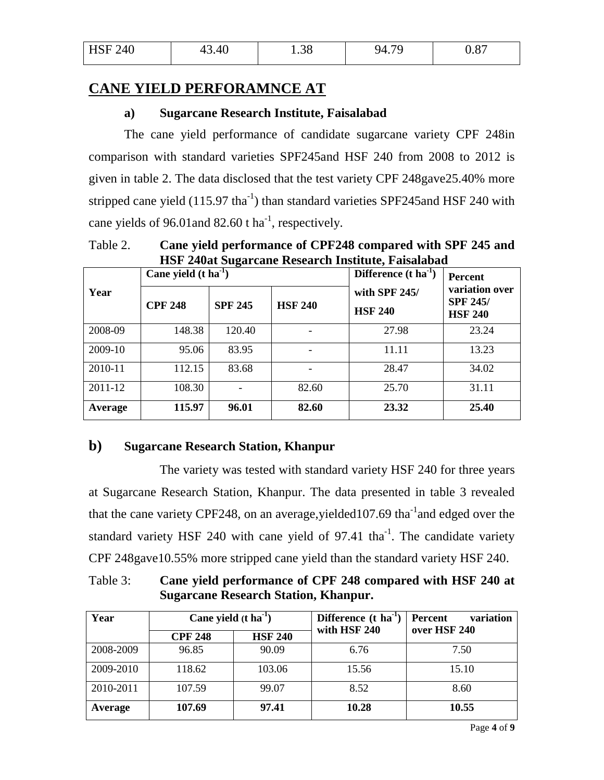| <b>HSF 240</b> | AC<br>. 0 | ⌒⌒<br>1.JU | 7c<br>. | v.v, |
|----------------|-----------|------------|---------|------|
|                |           |            |         |      |

### **CANE YIELD PERFORAMNCE AT**

#### **a) Sugarcane Research Institute, Faisalabad**

The cane yield performance of candidate sugarcane variety CPF 248in comparison with standard varieties SPF245and HSF 240 from 2008 to 2012 is given in table 2. The data disclosed that the test variety CPF 248gave25.40% more stripped cane yield  $(115.97 \text{ tha}^{-1})$  than standard varieties SPF245 and HSF 240 with cane yields of 96.01 and 82.60 t ha<sup>-1</sup>, respectively.

Table 2. **Cane yield performance of CPF248 compared with SPF 245 and HSF 240at Sugarcane Research Institute, Faisalabad**

|         | Cane yield $(t \text{ ha}^{-1})$ |                |                | Difference $(t \text{ ha}^{-1})$ | Percent                                             |
|---------|----------------------------------|----------------|----------------|----------------------------------|-----------------------------------------------------|
| Year    | <b>CPF 248</b>                   | <b>SPF 245</b> | <b>HSF 240</b> | with SPF 245/<br><b>HSF 240</b>  | variation over<br><b>SPF 245/</b><br><b>HSF 240</b> |
| 2008-09 | 148.38                           | 120.40         |                | 27.98                            | 23.24                                               |
| 2009-10 | 95.06                            | 83.95          |                | 11.11                            | 13.23                                               |
| 2010-11 | 112.15                           | 83.68          |                | 28.47                            | 34.02                                               |
| 2011-12 | 108.30                           |                | 82.60          | 25.70                            | 31.11                                               |
| Average | 115.97                           | 96.01          | 82.60          | 23.32                            | 25.40                                               |

#### **b) Sugarcane Research Station, Khanpur**

The variety was tested with standard variety HSF 240 for three years at Sugarcane Research Station, Khanpur. The data presented in table 3 revealed that the cane variety CPF248, on an average, yielded  $107.69$  tha<sup>-1</sup> and edged over the standard variety HSF 240 with cane yield of 97.41 tha $^{-1}$ . The candidate variety CPF 248gave10.55% more stripped cane yield than the standard variety HSF 240.

Table 3: **Cane yield performance of CPF 248 compared with HSF 240 at Sugarcane Research Station, Khanpur.**

| Year      | Cane yield $(t \text{ ha}^{-1})$ |                | Difference (t ha <sup>-1</sup> | variation<br>Percent |  |
|-----------|----------------------------------|----------------|--------------------------------|----------------------|--|
|           | <b>CPF 248</b>                   | <b>HSF 240</b> | with HSF 240                   | over HSF 240         |  |
| 2008-2009 | 96.85                            | 90.09          | 6.76                           | 7.50                 |  |
| 2009-2010 | 118.62                           | 103.06         | 15.56                          | 15.10                |  |
| 2010-2011 | 107.59                           | 99.07          | 8.52                           | 8.60                 |  |
| Average   | 107.69                           | 97.41          | 10.28                          | 10.55                |  |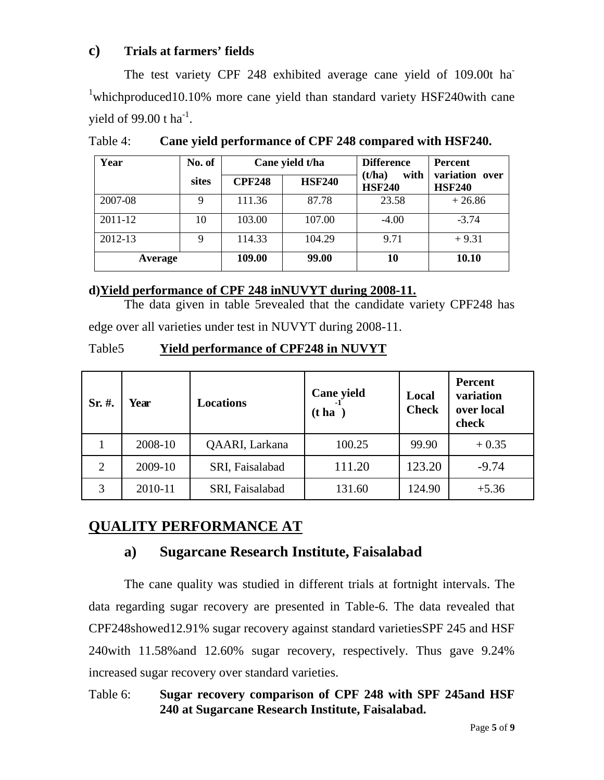#### **c) Trials at farmers' fields**

The test variety CPF 248 exhibited average cane yield of 109.00t ha <sup>1</sup>whichproduced10.10% more cane yield than standard variety HSF240with cane yield of 99.00 t  $ha^{-1}$ .

| Year    | No. of |               | Cane yield t/ha | <b>Difference</b>               | <b>Percent</b>                  |
|---------|--------|---------------|-----------------|---------------------------------|---------------------------------|
|         | sites  | <b>CPF248</b> | <b>HSF240</b>   | with<br>(t/ha)<br><b>HSF240</b> | variation over<br><b>HSF240</b> |
| 2007-08 | 9      | 111.36        | 87.78           | 23.58                           | $+26.86$                        |
| 2011-12 | 10     | 103.00        | 107.00          | $-4.00$                         | $-3.74$                         |
| 2012-13 | 9      | 114.33        | 104.29          | 9.71                            | $+9.31$                         |
| Average |        | 109.00        | 99.00           | 10                              | 10.10                           |

Table 4: **Cane yield performance of CPF 248 compared with HSF240.**

#### **d)Yield performance of CPF 248 inNUVYT during 2008-11.**

The data given in table 5revealed that the candidate variety CPF248 has edge over all varieties under test in NUVYT during 2008-11.

#### Table5 **Yield performance of CPF248 in NUVYT**

| $Sr. \#$ .     | Year    | <b>Locations</b> | Cane yield<br>(t <sub>ha</sub> ) | Local<br><b>Check</b> | Percent<br>variation<br>over local<br>check |
|----------------|---------|------------------|----------------------------------|-----------------------|---------------------------------------------|
|                | 2008-10 | QAARI, Larkana   | 100.25                           | 99.90                 | $+0.35$                                     |
| $\overline{2}$ | 2009-10 | SRI, Faisalabad  | 111.20                           | 123.20                | $-9.74$                                     |
| 3              | 2010-11 | SRI, Faisalabad  | 131.60                           | 124.90                | $+5.36$                                     |

## **QUALITY PERFORMANCE AT**

## **a) Sugarcane Research Institute, Faisalabad**

The cane quality was studied in different trials at fortnight intervals. The data regarding sugar recovery are presented in Table-6. The data revealed that CPF248showed12.91% sugar recovery against standard varietiesSPF 245 and HSF 240with 11.58%and 12.60% sugar recovery, respectively. Thus gave 9.24% increased sugar recovery over standard varieties.

Table 6: **Sugar recovery comparison of CPF 248 with SPF 245and HSF 240 at Sugarcane Research Institute, Faisalabad.**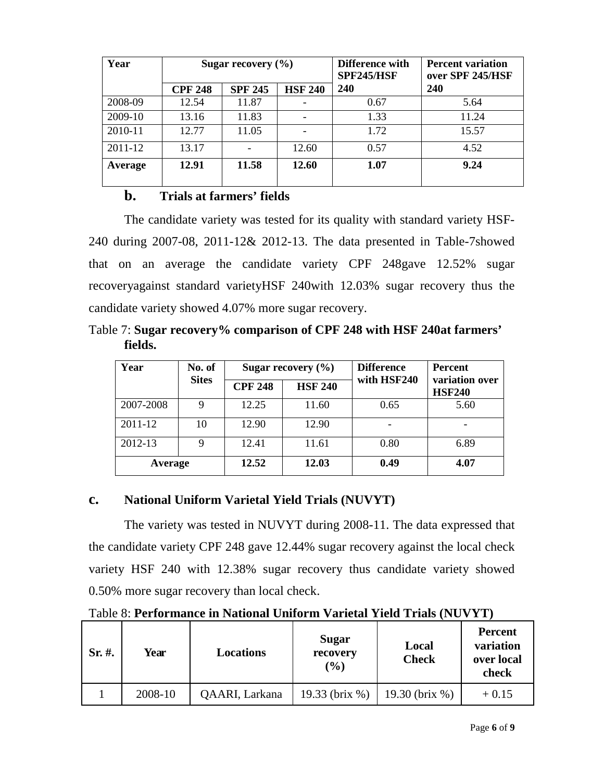| Year    | Sugar recovery $(\% )$ |                |                | Difference with<br><b>SPF245/HSF</b> | <b>Percent variation</b><br>over SPF 245/HSF |  |
|---------|------------------------|----------------|----------------|--------------------------------------|----------------------------------------------|--|
|         | <b>CPF 248</b>         | <b>SPF 245</b> | <b>HSF 240</b> | <b>240</b>                           | <b>240</b>                                   |  |
| 2008-09 | 12.54                  | 11.87          |                | 0.67                                 | 5.64                                         |  |
| 2009-10 | 13.16                  | 11.83          |                | 1.33                                 | 11.24                                        |  |
| 2010-11 | 12.77                  | 11.05          |                | 1.72                                 | 15.57                                        |  |
| 2011-12 | 13.17                  |                | 12.60          | 0.57                                 | 4.52                                         |  |
| Average | 12.91                  | 11.58          | 12.60          | 1.07                                 | 9.24                                         |  |

#### **b. Trials at farmers' fields**

The candidate variety was tested for its quality with standard variety HSF-240 during 2007-08, 2011-12& 2012-13. The data presented in Table-7showed that on an average the candidate variety CPF 248gave 12.52% sugar recoveryagainst standard varietyHSF 240with 12.03% sugar recovery thus the candidate variety showed 4.07% more sugar recovery.

Table 7: **Sugar recovery% comparison of CPF 248 with HSF 240at farmers' fields.**

| Year      | No. of<br><b>Sites</b> | Sugar recovery $(\% )$ |                | <b>Difference</b> | Percent                         |
|-----------|------------------------|------------------------|----------------|-------------------|---------------------------------|
|           |                        | <b>CPF 248</b>         | <b>HSF 240</b> | with HSF240       | variation over<br><b>HSF240</b> |
| 2007-2008 | 9                      | 12.25                  | 11.60          | 0.65              | 5.60                            |
| 2011-12   | 10                     | 12.90                  | 12.90          |                   |                                 |
| 2012-13   | 9                      | 12.41                  | 11.61          | 0.80              | 6.89                            |
| Average   |                        | 12.52                  | 12.03          | 0.49              | 4.07                            |

## **c. National Uniform Varietal Yield Trials (NUVYT)**

The variety was tested in NUVYT during 2008-11. The data expressed that the candidate variety CPF 248 gave 12.44% sugar recovery against the local check variety HSF 240 with 12.38% sugar recovery thus candidate variety showed 0.50% more sugar recovery than local check.

Table 8: **Performance in National Uniform Varietal Yield Trials (NUVYT)**

| $Sr. \#$ . | Year    | <b>Locations</b> | <b>Sugar</b><br>recovery<br>$($ %) | Local<br><b>Check</b> | <b>Percent</b><br>variation<br>over local<br>check |
|------------|---------|------------------|------------------------------------|-----------------------|----------------------------------------------------|
|            | 2008-10 | QAARI, Larkana   | 19.33 (brix %)                     | 19.30 (brix %)        | $+0.15$                                            |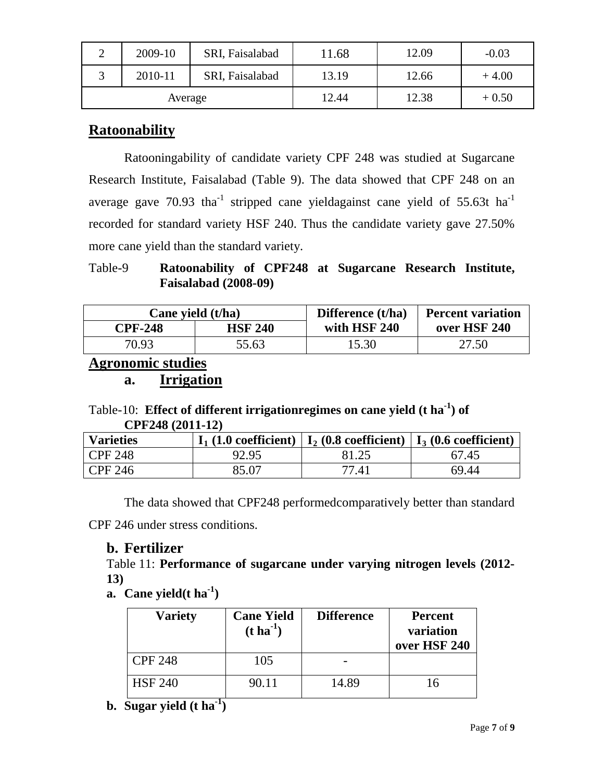| ∠       | 2009-10 | SRI, Faisalabad | !1.68 | 12.09 | $-0.03$ |
|---------|---------|-----------------|-------|-------|---------|
|         | 2010-11 | SRI, Faisalabad | 13.19 | 12.66 | $+4.00$ |
| Average |         |                 | 12.44 | 12.38 | $+0.50$ |

## **Ratoonability**

Ratooningability of candidate variety CPF 248 was studied at Sugarcane Research Institute, Faisalabad (Table 9). The data showed that CPF 248 on an average gave  $70.93$  tha<sup>-1</sup> stripped cane yieldagainst cane yield of 55.63t ha<sup>-1</sup> recorded for standard variety HSF 240. Thus the candidate variety gave 27.50% more cane yield than the standard variety.

Table-9 **Ratoonability of CPF248 at Sugarcane Research Institute, Faisalabad (2008-09)**

| Cane yield (t/ha) |                | Difference (t/ha) | <b>Percent variation</b> |  |
|-------------------|----------------|-------------------|--------------------------|--|
| <b>CPF-248</b>    | <b>HSF 240</b> | with HSF 240      | over HSF 240             |  |
| 70.93             | 55.63          | 15.30             | 27.50                    |  |

## **Agronomic studies**

**a. Irrigation**

## Table-10: **Effect of different irrigationregimes on cane yield (t ha-1 ) of CPF248 (2011-12)**

| <b>Varieties</b> |       | $I_1$ (1.0 coefficient)   $I_2$ (0.8 coefficient)   $I_3$ (0.6 coefficient) |       |
|------------------|-------|-----------------------------------------------------------------------------|-------|
| CPF 248          | 92.95 |                                                                             | 67.45 |
| CPF 246          | 85.07 | 77.41                                                                       | 69.44 |

The data showed that CPF248 performedcomparatively better than standard

CPF 246 under stress conditions.

## **b. Fertilizer**

Table 11: **Performance of sugarcane under varying nitrogen levels (2012- 13)**

**a. Cane yield(t ha-1 )**

| <b>Variety</b> | <b>Cane Yield</b><br>$(t \text{ ha}^{-1})$ | <b>Difference</b> | <b>Percent</b><br>variation<br>over HSF 240 |
|----------------|--------------------------------------------|-------------------|---------------------------------------------|
| <b>CPF 248</b> | 105                                        |                   |                                             |
| <b>HSF 240</b> | 90.11                                      | 14.89             |                                             |

**b. Sugar yield (t ha-1 )**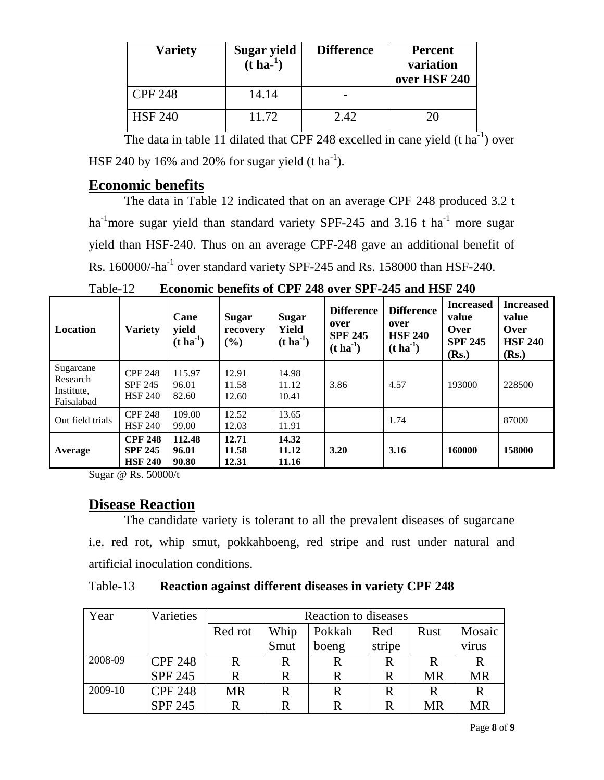| <b>Variety</b> | Sugar yield<br>$(t \text{ ha}^{-1})$ | <b>Difference</b> | <b>Percent</b><br>variation<br>over HSF 240 |
|----------------|--------------------------------------|-------------------|---------------------------------------------|
| <b>CPF 248</b> | 14.14                                |                   |                                             |
| <b>HSF 240</b> | 11.72                                | 2.42              | 20                                          |

The data in table 11 dilated that CPF 248 excelled in cane yield  $(t \text{ ha}^{-1})$  over HSF 240 by 16% and 20% for sugar yield (t ha<sup>-1</sup>).

## **Economic benefits**

The data in Table 12 indicated that on an average CPF 248 produced 3.2 t ha<sup>-1</sup>more sugar yield than standard variety SPF-245 and 3.16 t ha<sup>-1</sup> more sugar yield than HSF-240. Thus on an average CPF-248 gave an additional benefit of Rs. 160000/-ha $^{-1}$  over standard variety SPF-245 and Rs. 158000 than HSF-240.

| <b>Location</b>                                   | Variety                                            | Cane<br>yield<br>$(t \, \text{ha}^{-1})$ | <b>Sugar</b><br>recovery<br>$\left( \frac{6}{6} \right)$ | <b>Sugar</b><br>Yield<br>$(t \, \text{ha}^{-1})$ | <b>Difference</b><br>over<br><b>SPF 245</b><br>$(t \, \mathrm{ha}^{-1})$ | <b>Difference</b><br>over<br><b>HSF 240</b><br>$(t \, ha^{-1})$ | <b>Increased</b><br>value<br>Over<br><b>SPF 245</b><br>(Rs.) | <b>Increased</b><br>value<br>Over<br><b>HSF 240</b><br>(Rs.) |
|---------------------------------------------------|----------------------------------------------------|------------------------------------------|----------------------------------------------------------|--------------------------------------------------|--------------------------------------------------------------------------|-----------------------------------------------------------------|--------------------------------------------------------------|--------------------------------------------------------------|
| Sugarcane<br>Research<br>Institute,<br>Faisalabad | <b>CPF 248</b><br><b>SPF 245</b><br><b>HSF 240</b> | 115.97<br>96.01<br>82.60                 | 12.91<br>11.58<br>12.60                                  | 14.98<br>11.12<br>10.41                          | 3.86                                                                     | 4.57                                                            | 193000                                                       | 228500                                                       |
| Out field trials                                  | <b>CPF 248</b><br><b>HSF 240</b>                   | 109.00<br>99.00                          | 12.52<br>12.03                                           | 13.65<br>11.91                                   |                                                                          | 1.74                                                            |                                                              | 87000                                                        |
| Average                                           | <b>CPF 248</b><br><b>SPF 245</b><br><b>HSF 240</b> | 112.48<br>96.01<br>90.80                 | 12.71<br>11.58<br>12.31                                  | 14.32<br>11.12<br>11.16                          | 3.20                                                                     | 3.16                                                            | 160000                                                       | 158000                                                       |

Table-12 **Economic benefits of CPF 248 over SPF-245 and HSF 240**

Sugar @ Rs. 50000/t

## **Disease Reaction**

The candidate variety is tolerant to all the prevalent diseases of sugarcane i.e. red rot, whip smut, pokkahboeng, red stripe and rust under natural and artificial inoculation conditions.

Table-13 **Reaction against different diseases in variety CPF 248**

| Year    | Varieties      | Reaction to diseases                     |      |       |        |    |           |
|---------|----------------|------------------------------------------|------|-------|--------|----|-----------|
|         |                | Whip<br>Pokkah<br>Red rot<br>Rust<br>Red |      |       |        |    | Mosaic    |
|         |                |                                          | Smut | boeng | stripe |    | virus     |
| 2008-09 | <b>CPF 248</b> | R                                        | R    |       | R      | R  | R         |
|         | <b>SPF 245</b> | R                                        | R    | R     | R      | MR | <b>MR</b> |
| 2009-10 | <b>CPF 248</b> | <b>MR</b>                                | R    | R     | R      | R  | R         |
|         | <b>SPF 245</b> | R                                        |      | R     | R      | MR | <b>MR</b> |